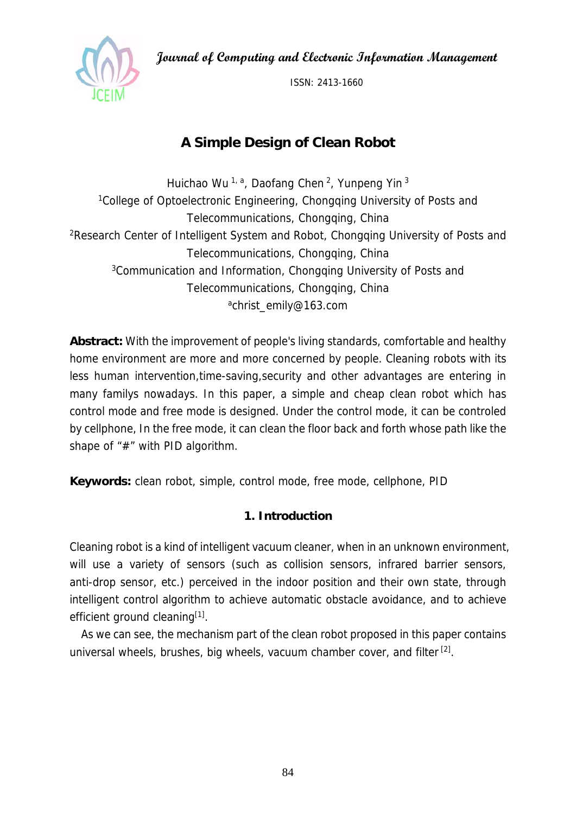**Journal of Computing and Electronic Information Management** 



ISSN: 2413-1660

# **A Simple Design of Clean Robot**

Huichao Wu<sup>1, a</sup>, Daofang Chen<sup>2</sup>, Yunpeng Yin<sup>3</sup> <sup>1</sup>College of Optoelectronic Engineering, Chongqing University of Posts and Telecommunications, Chongqing, China 2Research Center of Intelligent System and Robot, Chongqing University of Posts and Telecommunications, Chongqing, China 3Communication and Information, Chongqing University of Posts and Telecommunications, Chongqing, China achrist\_emily@163.com

**Abstract:** With the improvement of people's living standards, comfortable and healthy home environment are more and more concerned by people. Cleaning robots with its less human intervention,time-saving,security and other advantages are entering in many familys nowadays. In this paper, a simple and cheap clean robot which has control mode and free mode is designed. Under the control mode, it can be controled by cellphone, In the free mode, it can clean the floor back and forth whose path like the shape of "#" with PID algorithm.

**Keywords:** clean robot, simple, control mode, free mode, cellphone, PID

# **1. Introduction**

Cleaning robot is a kind of intelligent vacuum cleaner, when in an unknown environment, will use a variety of sensors (such as collision sensors, infrared barrier sensors, anti-drop sensor, etc.) perceived in the indoor position and their own state, through intelligent control algorithm to achieve automatic obstacle avoidance, and to achieve efficient ground cleaning<sup>[1]</sup>.

As we can see, the mechanism part of the clean robot proposed in this paper contains universal wheels, brushes, big wheels, vacuum chamber cover, and filter [2].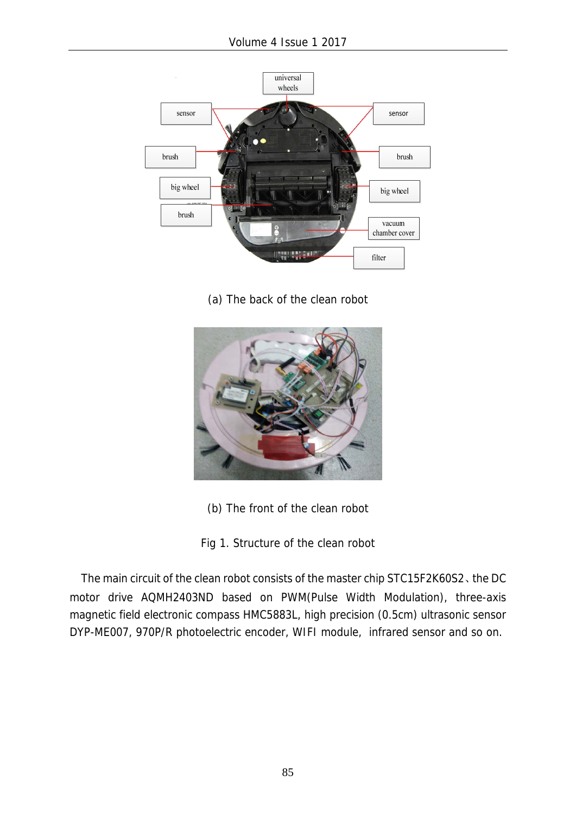

(a) The back of the clean robot



- (b) The front of the clean robot
- Fig 1. Structure of the clean robot

The main circuit of the clean robot consists of the master chip STC15F2K60S2、the DC motor drive AQMH2403ND based on PWM(Pulse Width Modulation), three-axis magnetic field electronic compass HMC5883L, high precision (0.5cm) ultrasonic sensor DYP-ME007, 970P/R photoelectric encoder, WIFI module, infrared sensor and so on.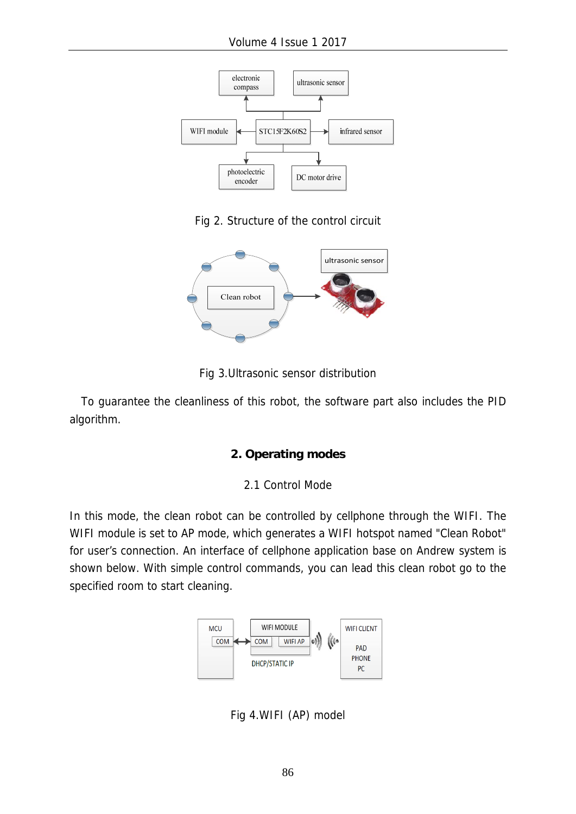

Fig 2. Structure of the control circuit



Fig 3.Ultrasonic sensor distribution

To guarantee the cleanliness of this robot, the software part also includes the PID algorithm.

#### **2. Operating modes**

#### 2.1 Control Mode

In this mode, the clean robot can be controlled by cellphone through the WIFI. The WIFI module is set to AP mode, which generates a WIFI hotspot named "Clean Robot" for user's connection. An interface of cellphone application base on Andrew system is shown below. With simple control commands, you can lead this clean robot go to the specified room to start cleaning.



Fig 4.WIFI (AP) model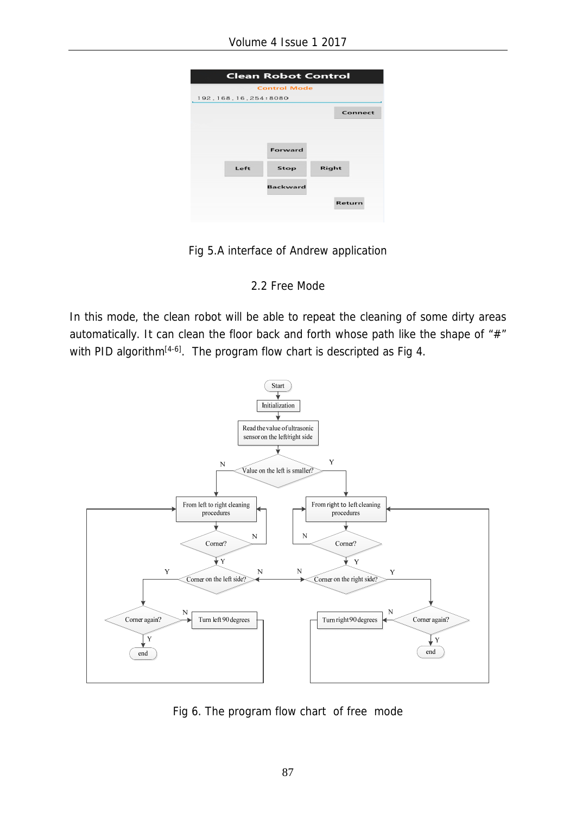| <b>Clean Robot Control</b> |      |                 |       |         |
|----------------------------|------|-----------------|-------|---------|
| <b>Control Mode</b>        |      |                 |       |         |
| 192.168.16.254:8080        |      |                 |       |         |
|                            |      |                 |       | Connect |
|                            |      |                 |       |         |
|                            |      |                 |       |         |
|                            |      | Forward         |       |         |
|                            | Left | Stop            | Right |         |
|                            |      |                 |       |         |
|                            |      | <b>Backward</b> |       |         |
|                            |      |                 |       | Return  |
|                            |      |                 |       |         |

Fig 5.A interface of Andrew application

### 2.2 Free Mode

In this mode, the clean robot will be able to repeat the cleaning of some dirty areas automatically. It can clean the floor back and forth whose path like the shape of "#" with PID algorithm<sup>[4-6]</sup>. The program flow chart is descripted as Fig 4.



Fig 6. The program flow chart of free mode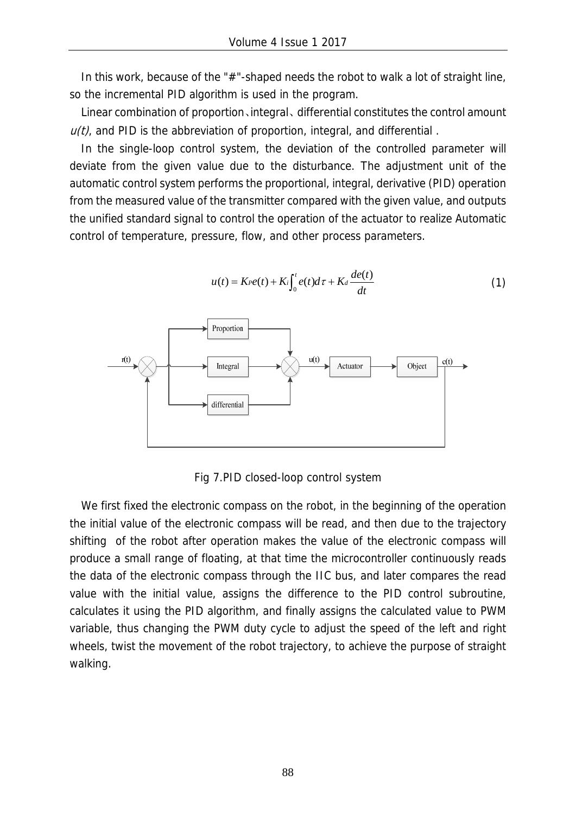In this work, because of the "#"-shaped needs the robot to walk a lot of straight line, so the incremental PID algorithm is used in the program.

Linear combination of proportion、integral、 differential constitutes the control amount  $u(t)$ , and PID is the abbreviation of proportion, integral, and differential.

In the single-loop control system, the deviation of the controlled parameter will deviate from the given value due to the disturbance. The adjustment unit of the automatic control system performs the proportional, integral, derivative (PID) operation from the measured value of the transmitter compared with the given value, and outputs the unified standard signal to control the operation of the actuator to realize Automatic control of temperature, pressure, flow, and other process parameters.



 $u(t) = K \cdot e(t) + K_i \int_0^t e(t) dt + K_d \frac{de(t)}{dt}$  $= K r e(t) + K i \int_0^t e(t) d\tau + K d \frac{de(t)}{dt}$  (1)

Fig 7.PID closed-loop control system

We first fixed the electronic compass on the robot, in the beginning of the operation the initial value of the electronic compass will be read, and then due to the trajectory shifting of the robot after operation makes the value of the electronic compass will produce a small range of floating, at that time the microcontroller continuously reads the data of the electronic compass through the IIC bus, and later compares the read value with the initial value, assigns the difference to the PID control subroutine, calculates it using the PID algorithm, and finally assigns the calculated value to PWM variable, thus changing the PWM duty cycle to adjust the speed of the left and right wheels, twist the movement of the robot trajectory, to achieve the purpose of straight walking.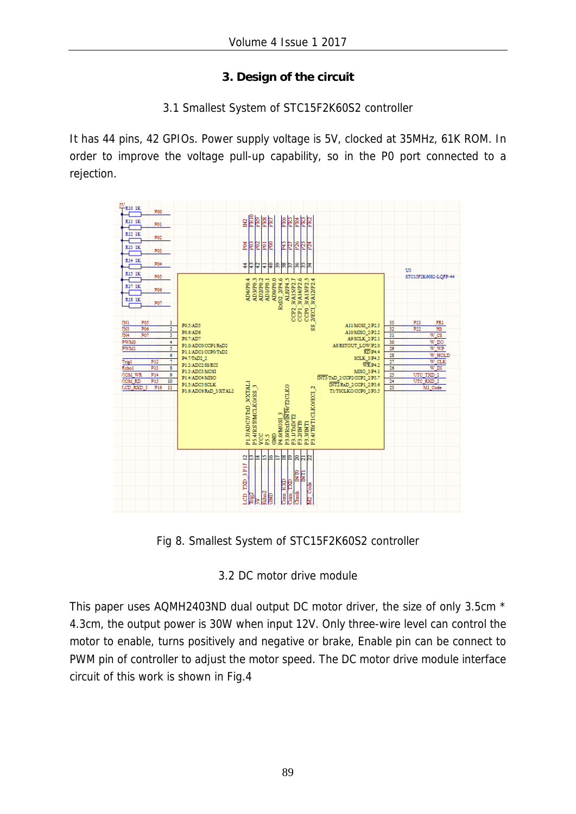# **3. Design of the circuit**

## 3.1 Smallest System of STC15F2K60S2 controller

It has 44 pins, 42 GPIOs. Power supply voltage is 5V, clocked at 35MHz, 61K ROM. In order to improve the voltage pull-up capability, so in the P0 port connected to a rejection.



Fig 8. Smallest System of STC15F2K60S2 controller

# 3.2 DC motor drive module

This paper uses AQMH2403ND dual output DC motor driver, the size of only 3.5cm \* 4.3cm, the output power is 30W when input 12V. Only three-wire level can control the motor to enable, turns positively and negative or brake, Enable pin can be connect to PWM pin of controller to adjust the motor speed. The DC motor drive module interface circuit of this work is shown in Fig.4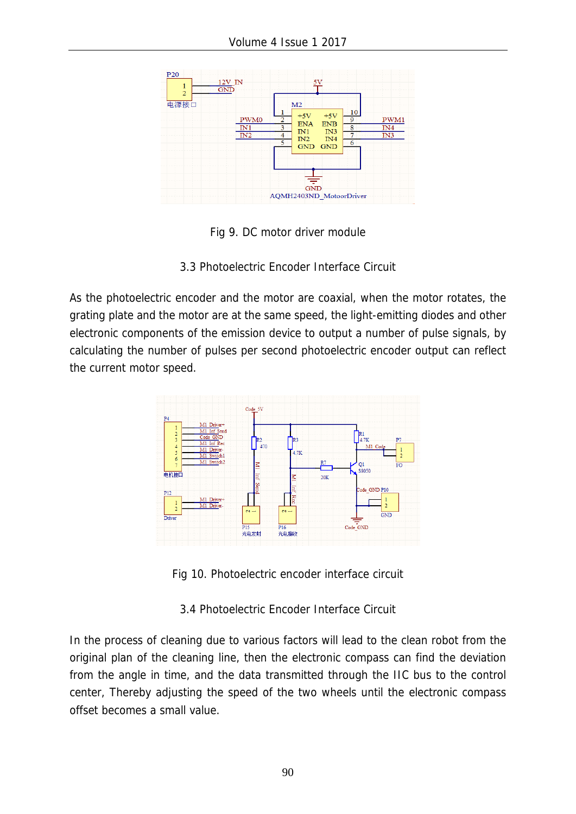

Fig 9. DC motor driver module

3.3 Photoelectric Encoder Interface Circuit

As the photoelectric encoder and the motor are coaxial, when the motor rotates, the grating plate and the motor are at the same speed, the light-emitting diodes and other electronic components of the emission device to output a number of pulse signals, by calculating the number of pulses per second photoelectric encoder output can reflect the current motor speed.



Fig 10. Photoelectric encoder interface circuit

3.4 Photoelectric Encoder Interface Circuit

In the process of cleaning due to various factors will lead to the clean robot from the original plan of the cleaning line, then the electronic compass can find the deviation from the angle in time, and the data transmitted through the IIC bus to the control center, Thereby adjusting the speed of the two wheels until the electronic compass offset becomes a small value.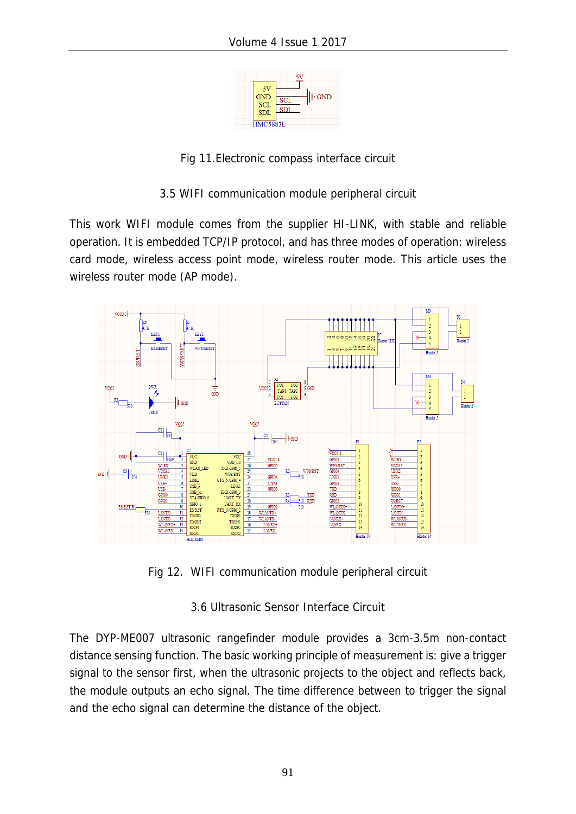

Fig 11.Electronic compass interface circuit

3.5 WIFI communication module peripheral circuit

This work WIFI module comes from the supplier HI-LINK, with stable and reliable operation. It is embedded TCP/IP protocol, and has three modes of operation: wireless card mode, wireless access point mode, wireless router mode. This article uses the wireless router mode (AP mode).



Fig 12. WIFI communication module peripheral circuit

3.6 Ultrasonic Sensor Interface Circuit

The DYP-ME007 ultrasonic rangefinder module provides a 3cm-3.5m non-contact distance sensing function. The basic working principle of measurement is: give a trigger signal to the sensor first, when the ultrasonic projects to the object and reflects back, the module outputs an echo signal. The time difference between to trigger the signal and the echo signal can determine the distance of the object.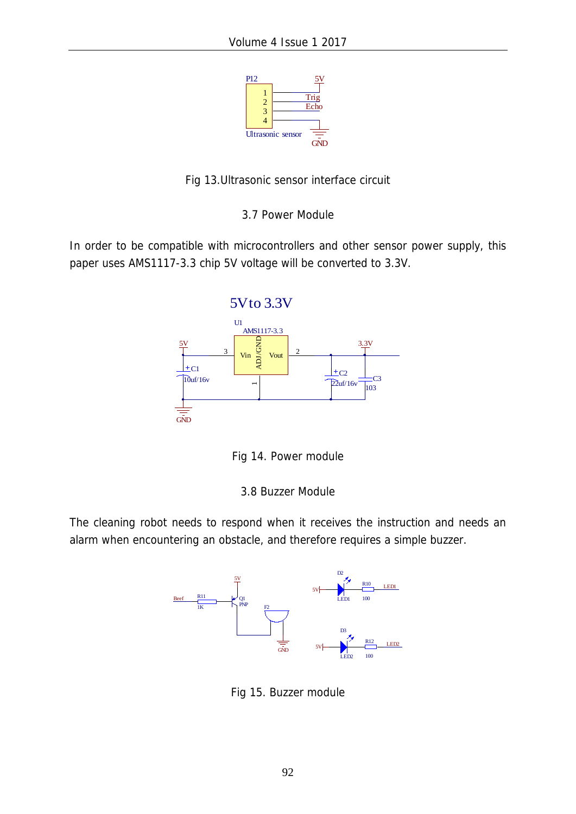



3.7 Power Module

In order to be compatible with microcontrollers and other sensor power supply, this paper uses AMS1117-3.3 chip 5V voltage will be converted to 3.3V.



Fig 14. Power module

3.8 Buzzer Module

The cleaning robot needs to respond when it receives the instruction and needs an alarm when encountering an obstacle, and therefore requires a simple buzzer.



Fig 15. Buzzer module